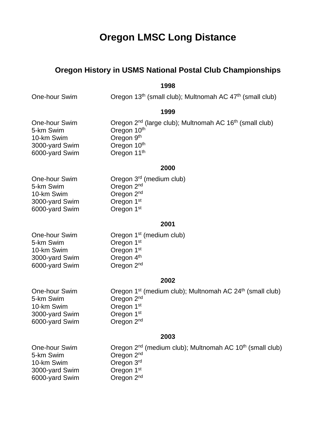# **Oregon LMSC Long Distance**

# **Oregon History in USMS National Postal Club Championships**

**1998**

One-hour Swim **Oregon 13<sup>th</sup>** (small club); Multnomah AC 47<sup>th</sup> (small club)

**1999**

| One-hour Swim  | Oregon 2 <sup>nd</sup> (large club); Multnomah AC 16 <sup>th</sup> (small club) |
|----------------|---------------------------------------------------------------------------------|
| 5-km Swim      | Oregon 10th                                                                     |
| 10-km Swim     | Oregon 9 <sup>th</sup>                                                          |
| 3000-yard Swim | Oregon 10 <sup>th</sup>                                                         |
| 6000-yard Swim | Oregon 11 <sup>th</sup>                                                         |
|                |                                                                                 |

# **2000**

| One-hour Swim  | Oregon 3 <sup>rd</sup> (medium club) |
|----------------|--------------------------------------|
| 5-km Swim      | Oregon 2 <sup>nd</sup>               |
| 10-km Swim     | Oregon 2 <sup>nd</sup>               |
| 3000-yard Swim | Oregon 1 <sup>st</sup>               |
| 6000-yard Swim | Oregon 1 <sup>st</sup>               |
|                |                                      |

# **2001**

Oregon 1<sup>st</sup> (medium club) Oregon 1st Oregon 1st Oregon  $4<sup>th</sup>$ Oregon 2<sup>nd</sup>

# **2002**

| Oregon 1 <sup>st</sup> (medium club); Multnomah AC 24 <sup>th</sup> (small club) |
|----------------------------------------------------------------------------------|
| Oregon 2 <sup>nd</sup>                                                           |
| Oregon 1 <sup>st</sup>                                                           |
| Oregon 1 <sup>st</sup>                                                           |
| Oregon 2 <sup>nd</sup>                                                           |
|                                                                                  |

# **2003**

| One-hour Swim  |
|----------------|
| 5-km Swim      |
| 10-km Swim     |
| 3000-yard Swim |
| 6000-yard Swim |

Oregon 2<sup>nd</sup> (medium club); Multnomah AC 10<sup>th</sup> (small club) Oregon 2<sup>nd</sup> Oregon 3rd Oregon 1st Oregon 2<sup>nd</sup>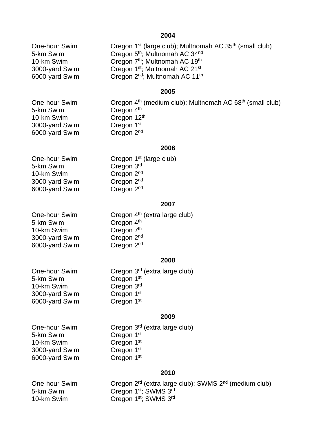**2004**

One-hour Swim **Oregon 1<sup>st</sup>** (large club); Multnomah AC 35<sup>th</sup> (small club) 5-km Swim **Oregon 5th; Multnomah AC 34nd** 10-km Swim **Oregon 7th**; Multnomah AC 19th 3000-yard Swim **Oregon 1st**; Multnomah AC 21st 6000-yard Swim Oregon 2nd; Multnomah AC 11th

#### **2005**

5-km Swim Oregon 4<sup>th</sup> 10-km Swim Oregon 12<sup>th</sup> 3000-yard Swim Cregon 1st<br>6000-yard Swim Cregon 2<sup>nd</sup> 6000-yard Swim

One-hour Swim **Oregon 4<sup>th</sup>** (medium club); Multnomah AC 68<sup>th</sup> (small club)

#### **2006**

5-km Swim Cregon 3rd<br>10-km Swim Cregon 2<sup>nd</sup> 10-km Swim Oregon 2nd 3000-yard Swim 6000-yard Swim Oregon 2nd

One-hour Swim Cregon 1<sup>st</sup> (large club)<br>5-km Swim Cregon 3<sup>rd</sup>

#### **2007**

| One-hour Swim  | Oregon 4 <sup>th</sup> (extra large club) |
|----------------|-------------------------------------------|
| 5-km Swim      | Oregon 4 <sup>th</sup>                    |
| 10-km Swim     | Oregon 7 <sup>th</sup>                    |
| 3000-yard Swim | Oregon 2 <sup>nd</sup>                    |
| 6000-yard Swim | Oregon 2 <sup>nd</sup>                    |

#### **2008**

One-hour Swim **Oregon 3<sup>rd</sup>** (extra large club) 5-km Swim Cregon 1st<br>10-km Swim Cregon 3rd 10-km Swim 3000-yard Swim Oregon 1st 6000-yard Swim Oregon 1st

#### **2009**

5-km Swim 10-km Swim **Oregon** 1st 3000-yard Swim Oregon 1st 6000-yard Swim Oregon 1st

One-hour Swim Oregon 3<sup>rd</sup> (extra large club)<br>5-km Swim Oregon 1<sup>st</sup>

## **2010**

One-hour Swim Oregon 2rd (extra large club); SWMS 2nd (medium club) 5-km Swim Oregon 1<sup>st</sup>; SWMS 3<sup>rd</sup> 10-km Swim Oregon 1st; SWMS 3rd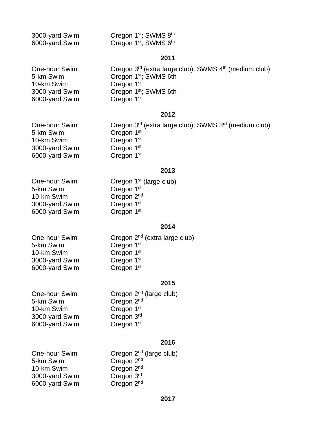| 3000-yard Swim | Oregon 1 <sup>st</sup> ; SWMS 8 <sup>th</sup> |
|----------------|-----------------------------------------------|
| 6000-yard Swim | Oregon 1 <sup>st</sup> ; SWMS 6 <sup>th</sup> |

# **2011**

| One-hour Swim  | Oregon 3 <sup>rd</sup> (extra large club); SWMS 4 <sup>th</sup> (medium club) |
|----------------|-------------------------------------------------------------------------------|
| 5-km Swim      | Oregon 1 <sup>st</sup> ; SWMS 6th                                             |
| 10-km Swim     | Oregon 1 <sup>st</sup>                                                        |
| 3000-yard Swim | Oregon 1 <sup>st</sup> ; SWMS 6th                                             |
| 6000-yard Swim | Oregon 1 <sup>st</sup>                                                        |

#### **2012**

One-hour Swim Oregon 3<sup>rd</sup> (extra large club); SWMS 3<sup>rd</sup> (medium club)<br>5-km Swim Oregon 1<sup>st</sup> 5-km Swim Cregon 1st<br>10-km Swim Cregon 1st 10-km Swim Cregon 1<sup>st</sup><br>3000-yard Swim Cregon 1<sup>st</sup> 3000-yard Swim 6000-yard Swim Oregon 1st

## **2013**

One-hour Swim **Oregon 1st (large club)** 5-km Swim Cregon 1st<br>
10-km Swim Cregon 2<sup>nd</sup> 10-km Swim Cregon 2<sup>nd</sup><br>3000-yard Swim Cregon 1<sup>st</sup> 3000-yard Swim Cregon 1<sup>st</sup><br>6000-yard Swim Cregon 1<sup>st</sup> 6000-yard Swim

# **2014**

5-km Swim Cregon 1st<br>
10-km Swim Cregon 1st 10-km Swim Cregon 1<sup>st</sup><br>3000-yard Swim Cregon 1<sup>st</sup> 3000-yard Swim Oregon 1st<br>6000-yard Swim Oregon 1st 6000-yard Swim

One-hour Swim **Oregon 2<sup>nd</sup>** (extra large club)

#### **2015**

| One-hour Swim  | Oregon 2 <sup>nd</sup> (large club) |
|----------------|-------------------------------------|
| 5-km Swim      | Oregon 2 <sup>nd</sup>              |
| 10-km Swim     | Oregon 1 <sup>st</sup>              |
| 3000-yard Swim | Oregon 3rd                          |
| 6000-yard Swim | Oregon 1 <sup>st</sup>              |
|                |                                     |

#### **2016**

| One-hour Swim  | Oregon 2 <sup>nd</sup> (large club) |
|----------------|-------------------------------------|
| 5-km Swim      | Oregon 2 <sup>nd</sup>              |
| 10-km Swim     | Oregon 2 <sup>nd</sup>              |
| 3000-yard Swim | Oregon 3rd                          |
| 6000-yard Swim | Oregon 2 <sup>nd</sup>              |